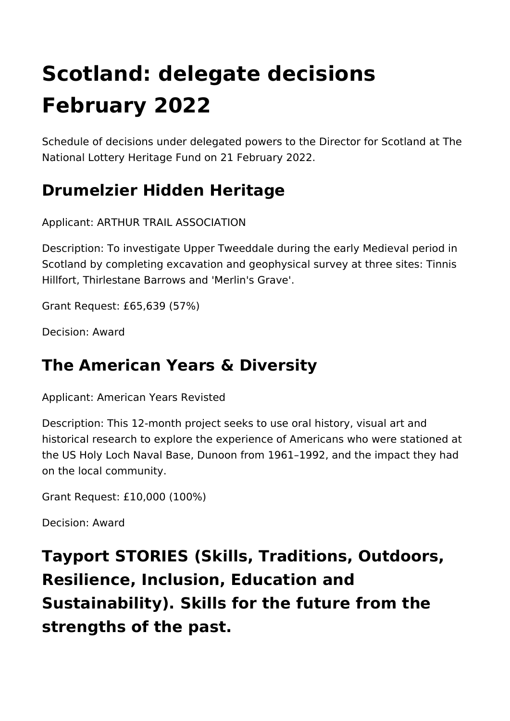# **Scotland: delegate decisions February 2022**

Schedule of decisions under delegated powers to the Director for Scotland at The National Lottery Heritage Fund on 21 February 2022.

# **Drumelzier Hidden Heritage**

Applicant: ARTHUR TRAIL ASSOCIATION

Description: To investigate Upper Tweeddale during the early Medieval period in Scotland by completing excavation and geophysical survey at three sites: Tinnis Hillfort, Thirlestane Barrows and 'Merlin's Grave'.

Grant Request: £65,639 (57%)

Decision: Award

#### **The American Years & Diversity**

Applicant: American Years Revisted

Description: This 12-month project seeks to use oral history, visual art and historical research to explore the experience of Americans who were stationed at the US Holy Loch Naval Base, Dunoon from 1961–1992, and the impact they had on the local community.

Grant Request: £10,000 (100%)

Decision: Award

**Tayport STORIES (Skills, Traditions, Outdoors, Resilience, Inclusion, Education and Sustainability). Skills for the future from the strengths of the past.**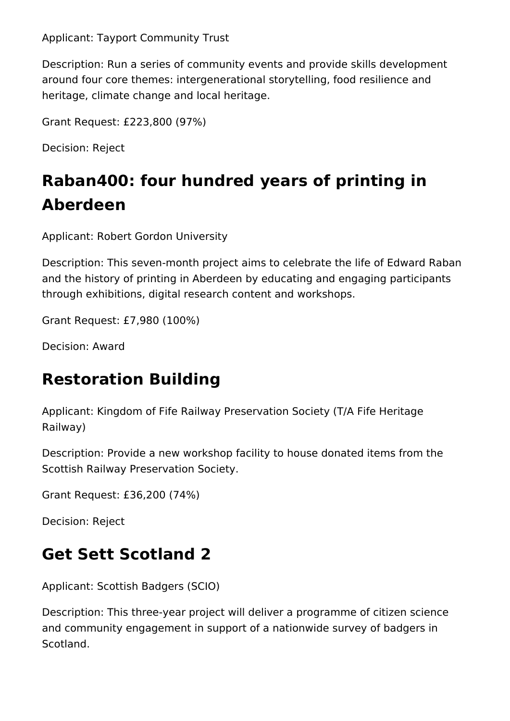Applicant: Tayport Community Trust

Description: Run a series of community events and provide skills development around four core themes: intergenerational storytelling, food resilience and heritage, climate change and local heritage.

Grant Request: £223,800 (97%)

Decision: Reject

# **Raban400: four hundred years of printing in Aberdeen**

Applicant: Robert Gordon University

Description: This seven-month project aims to celebrate the life of Edward Raban and the history of printing in Aberdeen by educating and engaging participants through exhibitions, digital research content and workshops.

Grant Request: £7,980 (100%)

Decision: Award

# **Restoration Building**

Applicant: Kingdom of Fife Railway Preservation Society (T/A Fife Heritage Railway)

Description: Provide a new workshop facility to house donated items from the Scottish Railway Preservation Society.

Grant Request: £36,200 (74%)

Decision: Reject

# **Get Sett Scotland 2**

Applicant: Scottish Badgers (SCIO)

Description: This three-year project will deliver a programme of citizen science and community engagement in support of a nationwide survey of badgers in Scotland.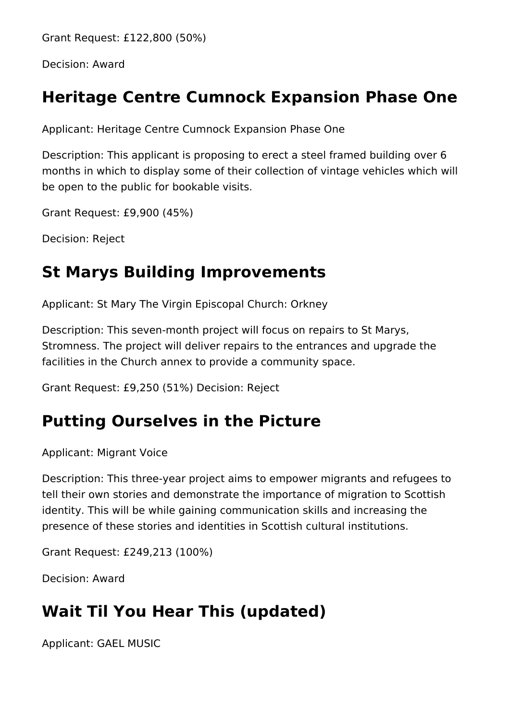Grant Request: £122,800 (50%)

Decision: Award

#### **Heritage Centre Cumnock Expansion Phase One**

Applicant: Heritage Centre Cumnock Expansion Phase One

Description: This applicant is proposing to erect a steel framed building over 6 months in which to display some of their collection of vintage vehicles which will be open to the public for bookable visits.

Grant Request: £9,900 (45%)

Decision: Reject

#### **St Marys Building Improvements**

Applicant: St Mary The Virgin Episcopal Church: Orkney

Description: This seven-month project will focus on repairs to St Marys, Stromness. The project will deliver repairs to the entrances and upgrade the facilities in the Church annex to provide a community space.

Grant Request: £9,250 (51%) Decision: Reject

#### **Putting Ourselves in the Picture**

Applicant: Migrant Voice

Description: This three-year project aims to empower migrants and refugees to tell their own stories and demonstrate the importance of migration to Scottish identity. This will be while gaining communication skills and increasing the presence of these stories and identities in Scottish cultural institutions.

Grant Request: £249,213 (100%)

Decision: Award

#### **Wait Til You Hear This (updated)**

Applicant: GAEL MUSIC